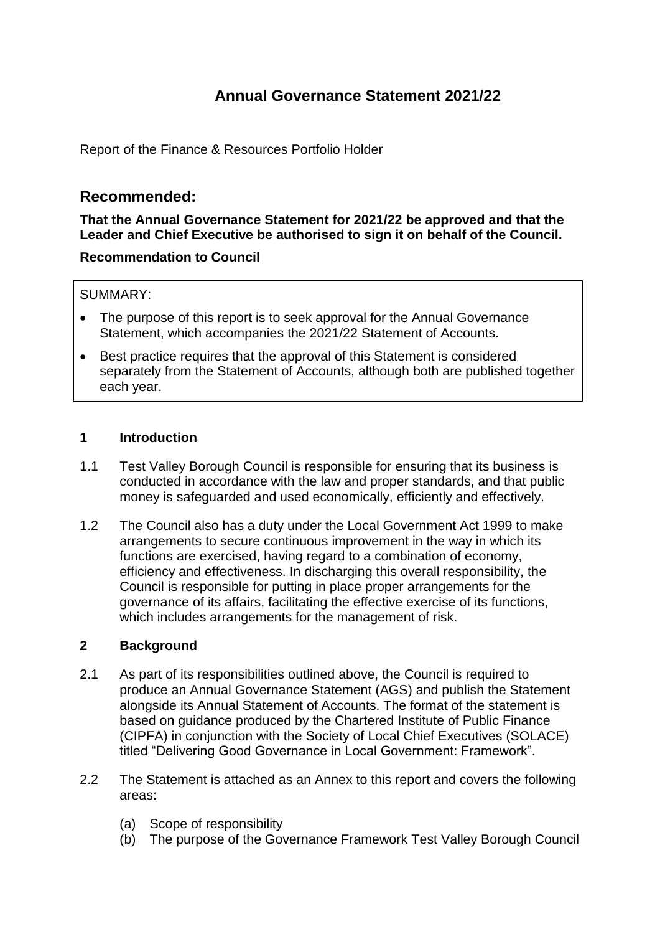# **Annual Governance Statement 2021/22**

Report of the Finance & Resources Portfolio Holder

# **Recommended:**

**That the Annual Governance Statement for 2021/22 be approved and that the Leader and Chief Executive be authorised to sign it on behalf of the Council.**

### **Recommendation to Council**

### SUMMARY:

- The purpose of this report is to seek approval for the Annual Governance Statement, which accompanies the 2021/22 Statement of Accounts.
- Best practice requires that the approval of this Statement is considered separately from the Statement of Accounts, although both are published together each year.

# **1 Introduction**

- 1.1 Test Valley Borough Council is responsible for ensuring that its business is conducted in accordance with the law and proper standards, and that public money is safeguarded and used economically, efficiently and effectively.
- 1.2 The Council also has a duty under the Local Government Act 1999 to make arrangements to secure continuous improvement in the way in which its functions are exercised, having regard to a combination of economy, efficiency and effectiveness. In discharging this overall responsibility, the Council is responsible for putting in place proper arrangements for the governance of its affairs, facilitating the effective exercise of its functions, which includes arrangements for the management of risk.

### **2 Background**

- 2.1 As part of its responsibilities outlined above, the Council is required to produce an Annual Governance Statement (AGS) and publish the Statement alongside its Annual Statement of Accounts. The format of the statement is based on guidance produced by the Chartered Institute of Public Finance (CIPFA) in conjunction with the Society of Local Chief Executives (SOLACE) titled "Delivering Good Governance in Local Government: Framework".
- 2.2 The Statement is attached as an Annex to this report and covers the following areas:
	- (a) Scope of responsibility
	- (b) The purpose of the Governance Framework Test Valley Borough Council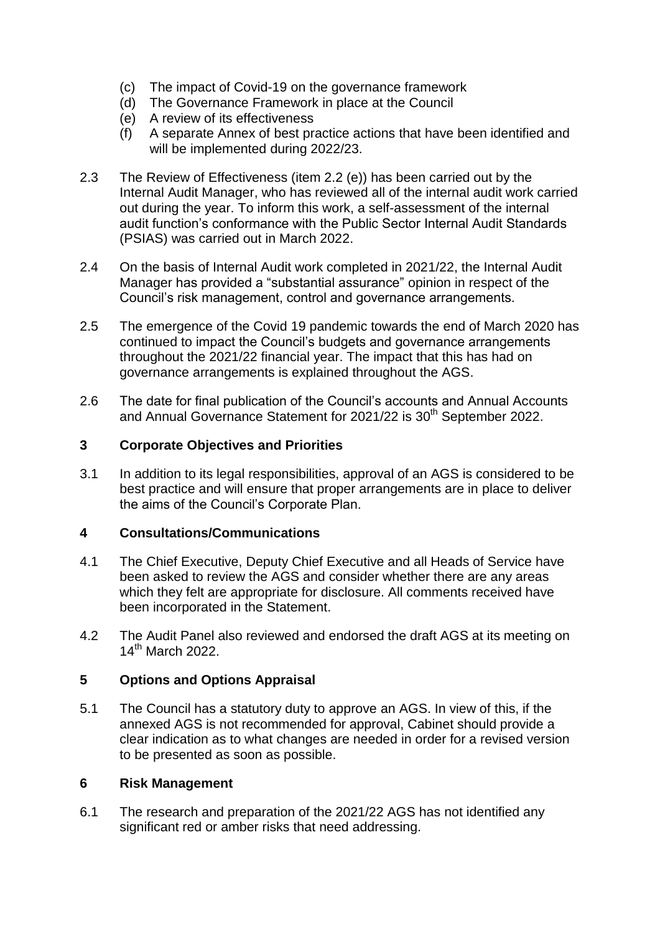- (c) The impact of Covid-19 on the governance framework
- (d) The Governance Framework in place at the Council
- (e) A review of its effectiveness
- (f) A separate Annex of best practice actions that have been identified and will be implemented during 2022/23.
- 2.3 The Review of Effectiveness (item 2.2 (e)) has been carried out by the Internal Audit Manager, who has reviewed all of the internal audit work carried out during the year. To inform this work, a self-assessment of the internal audit function's conformance with the Public Sector Internal Audit Standards (PSIAS) was carried out in March 2022.
- 2.4 On the basis of Internal Audit work completed in 2021/22, the Internal Audit Manager has provided a "substantial assurance" opinion in respect of the Council's risk management, control and governance arrangements.
- 2.5 The emergence of the Covid 19 pandemic towards the end of March 2020 has continued to impact the Council's budgets and governance arrangements throughout the 2021/22 financial year. The impact that this has had on governance arrangements is explained throughout the AGS.
- 2.6 The date for final publication of the Council's accounts and Annual Accounts and Annual Governance Statement for 2021/22 is 30<sup>th</sup> September 2022.

# **3 Corporate Objectives and Priorities**

3.1 In addition to its legal responsibilities, approval of an AGS is considered to be best practice and will ensure that proper arrangements are in place to deliver the aims of the Council's Corporate Plan.

### **4 Consultations/Communications**

- 4.1 The Chief Executive, Deputy Chief Executive and all Heads of Service have been asked to review the AGS and consider whether there are any areas which they felt are appropriate for disclosure. All comments received have been incorporated in the Statement.
- 4.2 The Audit Panel also reviewed and endorsed the draft AGS at its meeting on 14th March 2022.

# **5 Options and Options Appraisal**

5.1 The Council has a statutory duty to approve an AGS. In view of this, if the annexed AGS is not recommended for approval, Cabinet should provide a clear indication as to what changes are needed in order for a revised version to be presented as soon as possible.

### **6 Risk Management**

6.1 The research and preparation of the 2021/22 AGS has not identified any significant red or amber risks that need addressing.